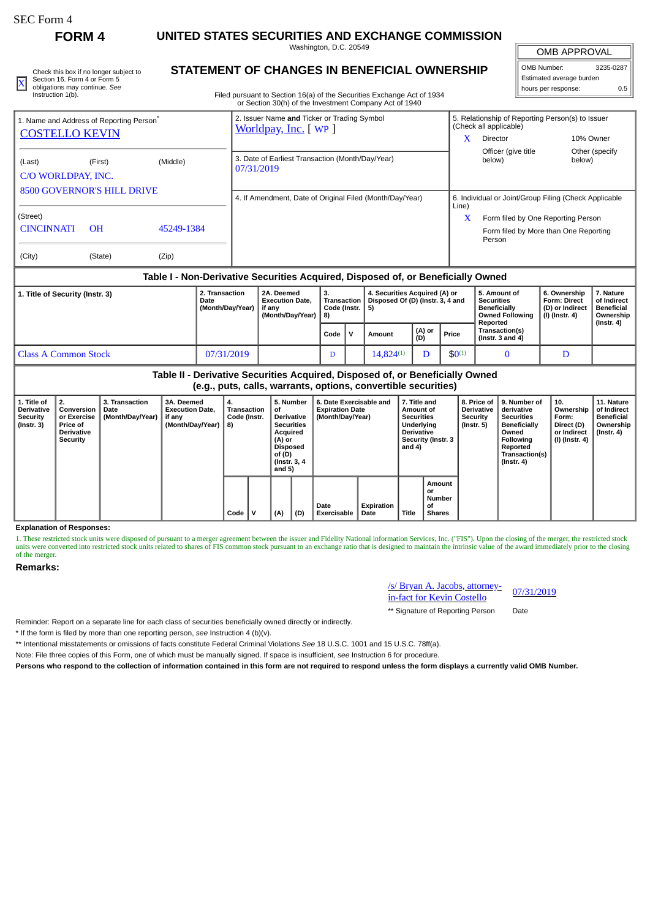**FORM 4 UNITED STATES SECURITIES AND EXCHANGE COMMISSION**

Washington, D.C. 20549

| Check this box if no longer subject to | STATEMENT OF CHANGES IN BENEFICIAL OWNERSHIP                           | OMB Number.              | 3235-0287 |
|----------------------------------------|------------------------------------------------------------------------|--------------------------|-----------|
| Section 16, Form 4 or Form 5           |                                                                        | Estimated average burden |           |
| * obligations may continue. See        |                                                                        | I hours per response:    |           |
| Instruction 1(b).                      | Filed pursuant to Section 16(a) of the Securities Exchange Act of 1934 |                          |           |

## **STATEMENT OF CHANGES IN BENEFICIAL OWNERSHIP**

Filed pursuant to Section 16(a) of the Securities Exchange Act of 1934 or Section 30(h) of the Investment Company Act of 1940

# OMB APPROVAL OMB Number: 3235-0287 Estimated average burden

|                                                                                          | 1. Name and Address of Reporting Person <sup>®</sup> |            | 2. Issuer Name and Ticker or Trading Symbol<br>Worldpay, Inc. [ WP ] | 5. Relationship of Reporting Person(s) to Issuer<br>(Check all applicable) |                                                       |                           |  |  |
|------------------------------------------------------------------------------------------|------------------------------------------------------|------------|----------------------------------------------------------------------|----------------------------------------------------------------------------|-------------------------------------------------------|---------------------------|--|--|
| <b>COSTELLO KEVIN</b>                                                                    |                                                      |            |                                                                      | x                                                                          | Director                                              | 10% Owner                 |  |  |
| (Middle)<br>(Last)<br>(First)<br>C/O WORLDPAY, INC.<br><b>8500 GOVERNOR'S HILL DRIVE</b> |                                                      |            | 3. Date of Earliest Transaction (Month/Day/Year)<br>07/31/2019       |                                                                            | Officer (give title<br>below)                         | Other (specify)<br>below) |  |  |
|                                                                                          |                                                      |            | 4. If Amendment, Date of Original Filed (Month/Day/Year)             | Line)                                                                      | 6. Individual or Joint/Group Filing (Check Applicable |                           |  |  |
| (Street)                                                                                 |                                                      |            |                                                                      | x                                                                          | Form filed by One Reporting Person                    |                           |  |  |
| <b>CINCINNATI</b>                                                                        | <b>OH</b>                                            | 45249-1384 |                                                                      |                                                                            | Form filed by More than One Reporting<br>Person       |                           |  |  |
| (City)                                                                                   | (State)                                              | (Zip)      |                                                                      |                                                                            |                                                       |                           |  |  |

#### **Table I - Non-Derivative Securities Acquired, Disposed of, or Beneficially Owned**

| 1. Title of Security (Instr. 3) | 2A. Deemed<br>2. Transaction<br><b>Execution Date.</b><br>Date<br>(Month/Day/Year)<br>if anv<br>(Month/Dav/Year)   8) |  | з.<br>Transaction<br>Code (Instr. 1 |  | 4. Securities Acquired (A) or<br>Disposed Of (D) (Instr. 3, 4 and<br>-5) |               |             | 5. Amount of<br><b>Securities</b><br>Beneficially<br><b>Owned Following</b> | 6. Ownership<br><b>Form: Direct</b><br>(D) or Indirect<br>(I) (Instr. 4) | 7. Nature<br>of Indirect<br>l Beneficial<br>Ownership |
|---------------------------------|-----------------------------------------------------------------------------------------------------------------------|--|-------------------------------------|--|--------------------------------------------------------------------------|---------------|-------------|-----------------------------------------------------------------------------|--------------------------------------------------------------------------|-------------------------------------------------------|
|                                 |                                                                                                                       |  | Code                                |  | Amount                                                                   | (A) or<br>(D) | Price       | Reported<br><b>Transaction(s)</b><br>$($ (Instr. 3 and 4)                   |                                                                          | (Instr. 4)                                            |
| l Class A Common Stock          | 07/31/2019                                                                                                            |  | D                                   |  | $14.824^{(1)}$                                                           |               | $$0^{(1)}$$ |                                                                             |                                                                          |                                                       |

### **Table II - Derivative Securities Acquired, Disposed of, or Beneficially Owned (e.g., puts, calls, warrants, options, convertible securities)**

| 1. Title of<br><b>Derivative</b><br>Security<br>(Instr. 3) | 2.<br>Conversion<br>or Exercise<br><b>Price of</b><br><b>Derivative</b><br>Security | <b>3. Transaction</b><br>Date<br>(Month/Day/Year) | 3A. Deemed<br><b>Execution Date.</b><br>if any<br>(Month/Day/Year) | 4.<br>Transaction<br>Code (Instr.<br>8) |      | 5. Number<br>οf<br><b>Derivative</b><br><b>Securities</b><br>Acquired<br>(A) or<br><b>Disposed</b><br>of (D)<br>(Instr. 3, 4)<br>and 5) |     | 6. Date Exercisable and<br><b>Expiration Date</b><br>(Month/Day/Year) |                     | 7. Title and<br>Amount of<br><b>Securities</b><br>Underlying<br><b>Derivative</b><br>Security (Instr. 3<br>and 4) |              | 8. Price of<br><b>Derivative</b><br>Security<br>(Instr. 5) | 9. Number of<br>derivative<br><b>Securities</b><br><b>Beneficially</b><br>Owned<br>Following<br>Reported<br><b>Transaction(s)</b><br>$($ Instr. 4 $)$ | 10.<br>Ownership<br>Form:<br>Direct (D)<br>or Indirect<br>  (I) (Instr. 4) | 11. Nature<br>of Indirect<br><b>Beneficial</b><br>Ownership<br>$($ Instr. 4 $)$ |  |
|------------------------------------------------------------|-------------------------------------------------------------------------------------|---------------------------------------------------|--------------------------------------------------------------------|-----------------------------------------|------|-----------------------------------------------------------------------------------------------------------------------------------------|-----|-----------------------------------------------------------------------|---------------------|-------------------------------------------------------------------------------------------------------------------|--------------|------------------------------------------------------------|-------------------------------------------------------------------------------------------------------------------------------------------------------|----------------------------------------------------------------------------|---------------------------------------------------------------------------------|--|
|                                                            |                                                                                     |                                                   |                                                                    |                                         | Code |                                                                                                                                         | (A) | (D)                                                                   | Date<br>Exercisable | Expiration<br>Date                                                                                                | <b>Title</b> | Amount<br>or<br>Number<br>οf<br><b>Shares</b>              |                                                                                                                                                       |                                                                            |                                                                                 |  |

#### **Explanation of Responses:**

1. These restricted stock units were disposed of pursuant to a merger agreement between the issuer and Fidelity National information Services, Inc. ("FIS"). Upon the closing of the merger, the restricted stock units were converted into restricted stock units related to shares of FIS common stock pursuant to an exchange ratio that is designed to maintain the intrinsic value of the award immediately prior to the closing of the merger.

#### **Remarks:**

/s/ Bryan A. Jacobs, attorney-<u><sup>ISI</sup> Bryan A. Jacobs, attorney-</u> 07/31/2019<br>in-fact for Kevin Costello

\*\* Signature of Reporting Person Date

Reminder: Report on a separate line for each class of securities beneficially owned directly or indirectly.

\* If the form is filed by more than one reporting person, *see* Instruction 4 (b)(v).

\*\* Intentional misstatements or omissions of facts constitute Federal Criminal Violations *See* 18 U.S.C. 1001 and 15 U.S.C. 78ff(a).

Note: File three copies of this Form, one of which must be manually signed. If space is insufficient, *see* Instruction 6 for procedure.

**Persons who respond to the collection of information contained in this form are not required to respond unless the form displays a currently valid OMB Number.**